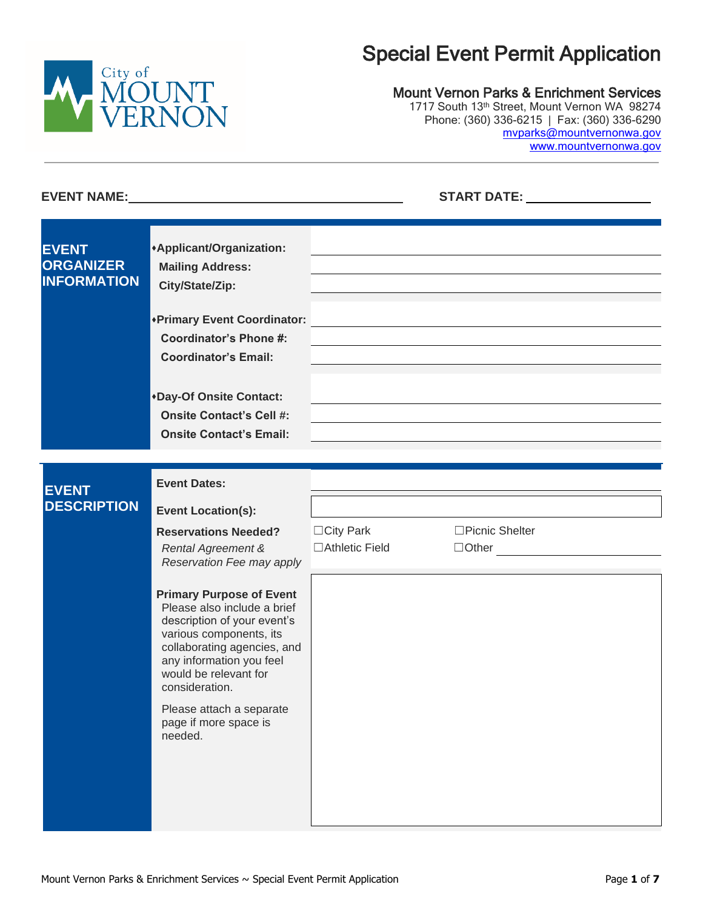

# Special Event Permit Application

### Mount Vernon Parks & Enrichment Services

1717 South 13th Street, Mount Vernon WA 98274 Phone: (360) 336-6215 | Fax: (360) 336-6290 [mvparks@mountvernonwa.gov](mailto:mvparks@mountvernonwa.gov) www.mountvernonwa.gov

| <b>EVENT</b><br><b>ORGANIZER</b><br><b>INFORMATION</b> | *Applicant/Organization:<br><b>Mailing Address:</b><br>City/State/Zip:                                                                                                                                                                                                                         |                                      |                                 |  |
|--------------------------------------------------------|------------------------------------------------------------------------------------------------------------------------------------------------------------------------------------------------------------------------------------------------------------------------------------------------|--------------------------------------|---------------------------------|--|
|                                                        | *Primary Event Coordinator:<br><b>Coordinator's Phone #:</b><br><b>Coordinator's Email:</b>                                                                                                                                                                                                    |                                      |                                 |  |
|                                                        | *Day-Of Onsite Contact:<br><b>Onsite Contact's Cell #:</b><br><b>Onsite Contact's Email:</b>                                                                                                                                                                                                   |                                      |                                 |  |
|                                                        | <b>Event Dates:</b>                                                                                                                                                                                                                                                                            |                                      |                                 |  |
| <b>DESCRIPTION</b>                                     | <b>Event Location(s):</b>                                                                                                                                                                                                                                                                      |                                      |                                 |  |
|                                                        | <b>Reservations Needed?</b><br><b>Rental Agreement &amp;</b><br>Reservation Fee may apply                                                                                                                                                                                                      | $\Box$ City Park<br>□ Athletic Field | □Picnic Shelter<br>$\Box$ Other |  |
|                                                        | <b>Primary Purpose of Event</b><br>Please also include a brief<br>description of your event's<br>various components, its<br>collaborating agencies, and<br>any information you feel<br>would be relevant for<br>consideration.<br>Please attach a separate<br>page if more space is<br>needed. |                                      |                                 |  |
| <b>EVENT</b>                                           |                                                                                                                                                                                                                                                                                                |                                      |                                 |  |

**EVENT NAME: START DATE:**

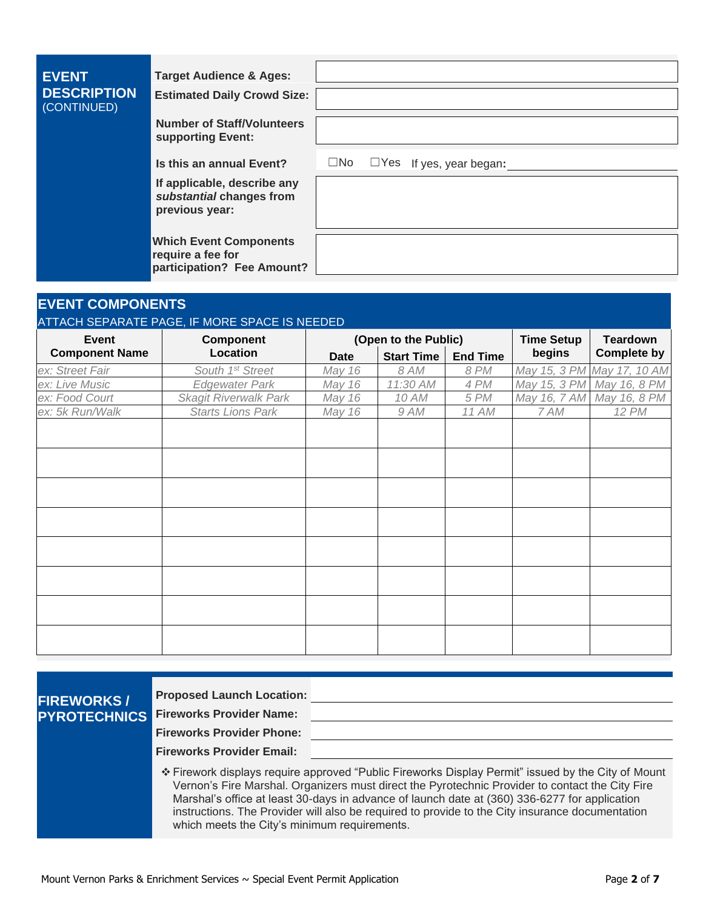| <b>EVENT</b><br><b>DESCRIPTION</b><br>(CONTINUED) | <b>Target Audience &amp; Ages:</b><br><b>Estimated Daily Crowd Size:</b>         |  |                                                |  |
|---------------------------------------------------|----------------------------------------------------------------------------------|--|------------------------------------------------|--|
|                                                   | <b>Number of Staff/Volunteers</b><br>supporting Event:                           |  |                                                |  |
|                                                   | Is this an annual Event?                                                         |  | $\square$ No $\square$ Yes If yes, year began: |  |
|                                                   | If applicable, describe any<br>substantial changes from<br>previous year:        |  |                                                |  |
|                                                   | <b>Which Event Components</b><br>require a fee for<br>participation? Fee Amount? |  |                                                |  |

# **EVENT COMPONENTS**

#### ATTACH SEPARATE PAGE, IF MORE SPACE IS NEEDED

| <b>Event</b>          | <b>Component</b>             |             | (Open to the Public) | <b>Time Setup</b> | <b>Teardown</b> |                            |  |
|-----------------------|------------------------------|-------------|----------------------|-------------------|-----------------|----------------------------|--|
| <b>Component Name</b> | Location                     | <b>Date</b> | <b>Start Time</b>    | <b>End Time</b>   | begins          | <b>Complete by</b>         |  |
| ex: Street Fair       | South 1st Street             | May 16      | 8 AM                 | <b>8 PM</b>       |                 | May 15, 3 PM May 17, 10 AM |  |
| ex: Live Music        | Edgewater Park               | May 16      | 11:30 AM             | 4 PM              | May 15, 3 PM    | May 16, 8 PM               |  |
| ex: Food Court        | <b>Skagit Riverwalk Park</b> | May 16      | 10 AM                | 5 PM              | May 16, 7 AM    | May 16, 8 PM               |  |
| ex: 5k Run/Walk       | <b>Starts Lions Park</b>     | May 16      | 9 AM                 | 11 AM             | 7 AM            | <b>12 PM</b>               |  |
|                       |                              |             |                      |                   |                 |                            |  |
|                       |                              |             |                      |                   |                 |                            |  |
|                       |                              |             |                      |                   |                 |                            |  |
|                       |                              |             |                      |                   |                 |                            |  |
|                       |                              |             |                      |                   |                 |                            |  |
|                       |                              |             |                      |                   |                 |                            |  |
|                       |                              |             |                      |                   |                 |                            |  |
|                       |                              |             |                      |                   |                 |                            |  |

**FIREWORKS / PYROTECHNICS** **Proposed Launch Location:**

**Fireworks Provider Name:**

**Fireworks Provider Phone:**

**Fireworks Provider Email:**

❖ Firework displays require approved "Public Fireworks Display Permit" issued by the City of Mount Vernon's Fire Marshal. Organizers must direct the Pyrotechnic Provider to contact the City Fire Marshal's office at least 30-days in advance of launch date at (360) 336-6277 for application instructions. The Provider will also be required to provide to the City insurance documentation which meets the City's minimum requirements.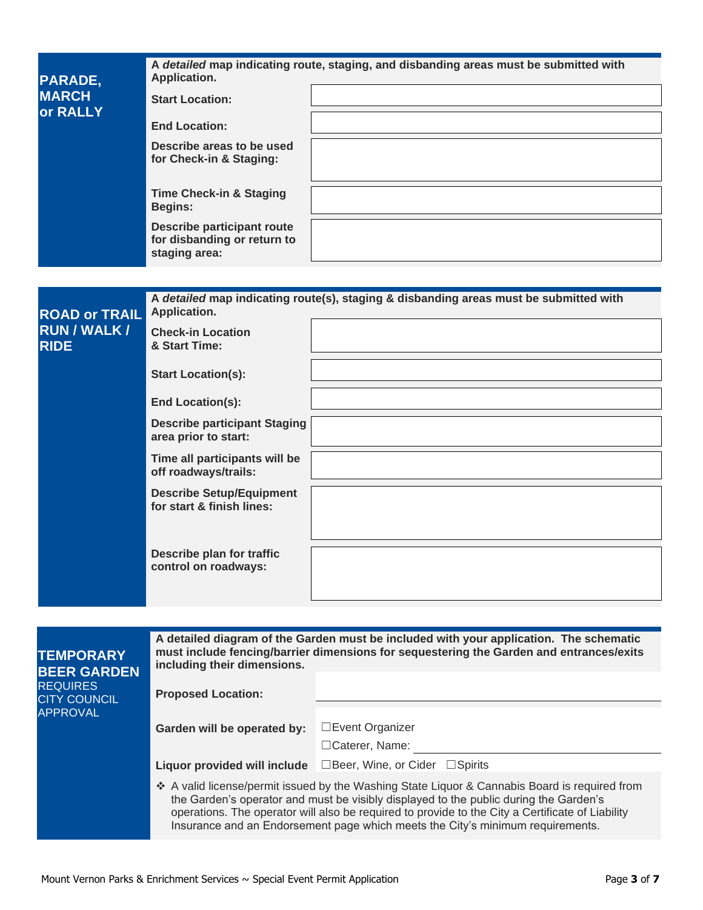| PARADE,                            | Application.                                                                      | A detailed map indicating route, staging, and disbanding areas must be submitted with |
|------------------------------------|-----------------------------------------------------------------------------------|---------------------------------------------------------------------------------------|
| <b>MARCH</b><br>or RALLY           | <b>Start Location:</b>                                                            |                                                                                       |
|                                    | <b>End Location:</b>                                                              |                                                                                       |
|                                    | Describe areas to be used<br>for Check-in & Staging:                              |                                                                                       |
|                                    | <b>Time Check-in &amp; Staging</b><br><b>Begins:</b>                              |                                                                                       |
|                                    | <b>Describe participant route</b><br>for disbanding or return to<br>staging area: |                                                                                       |
|                                    |                                                                                   |                                                                                       |
| <b>ROAD or TRAIL</b>               | Application.                                                                      | A detailed map indicating route(s), staging & disbanding areas must be submitted with |
| <b>RUN / WALK /</b><br><b>RIDE</b> | <b>Check-in Location</b><br>& Start Time:                                         |                                                                                       |
|                                    | <b>Start Location(s):</b>                                                         |                                                                                       |
|                                    | <b>End Location(s):</b>                                                           |                                                                                       |
|                                    | <b>Describe participant Staging</b><br>area prior to start:                       |                                                                                       |
|                                    | Time all participants will be<br>off roadways/trails:                             |                                                                                       |
|                                    | <b>Describe Setup/Equipment</b><br>for start & finish lines:                      |                                                                                       |
|                                    |                                                                                   |                                                                                       |
|                                    | Describe plan for traffic<br>control on roadways:                                 |                                                                                       |
|                                    |                                                                                   |                                                                                       |

| <b>TEMPORARY</b><br><b>BEER GARDEN</b> | A detailed diagram of the Garden must be included with your application. The schematic<br>must include fencing/barrier dimensions for sequestering the Garden and entrances/exits<br>including their dimensions. |                                                                                                                                                                                                                                                                                                                                                                              |  |  |  |  |
|----------------------------------------|------------------------------------------------------------------------------------------------------------------------------------------------------------------------------------------------------------------|------------------------------------------------------------------------------------------------------------------------------------------------------------------------------------------------------------------------------------------------------------------------------------------------------------------------------------------------------------------------------|--|--|--|--|
| <b>REQUIRES</b><br><b>CITY COUNCIL</b> | <b>Proposed Location:</b>                                                                                                                                                                                        |                                                                                                                                                                                                                                                                                                                                                                              |  |  |  |  |
| <b>APPROVAL</b>                        | Garden will be operated by:                                                                                                                                                                                      | □Event Organizer<br>$\Box$ Caterer, Name:                                                                                                                                                                                                                                                                                                                                    |  |  |  |  |
|                                        | Liquor provided will include                                                                                                                                                                                     | $\Box$ Beer, Wine, or Cider $\Box$ Spirits                                                                                                                                                                                                                                                                                                                                   |  |  |  |  |
|                                        |                                                                                                                                                                                                                  | ❖ A valid license/permit issued by the Washing State Liquor & Cannabis Board is required from<br>the Garden's operator and must be visibly displayed to the public during the Garden's<br>operations. The operator will also be required to provide to the City a Certificate of Liability<br>Insurance and an Endorsement page which meets the City's minimum requirements. |  |  |  |  |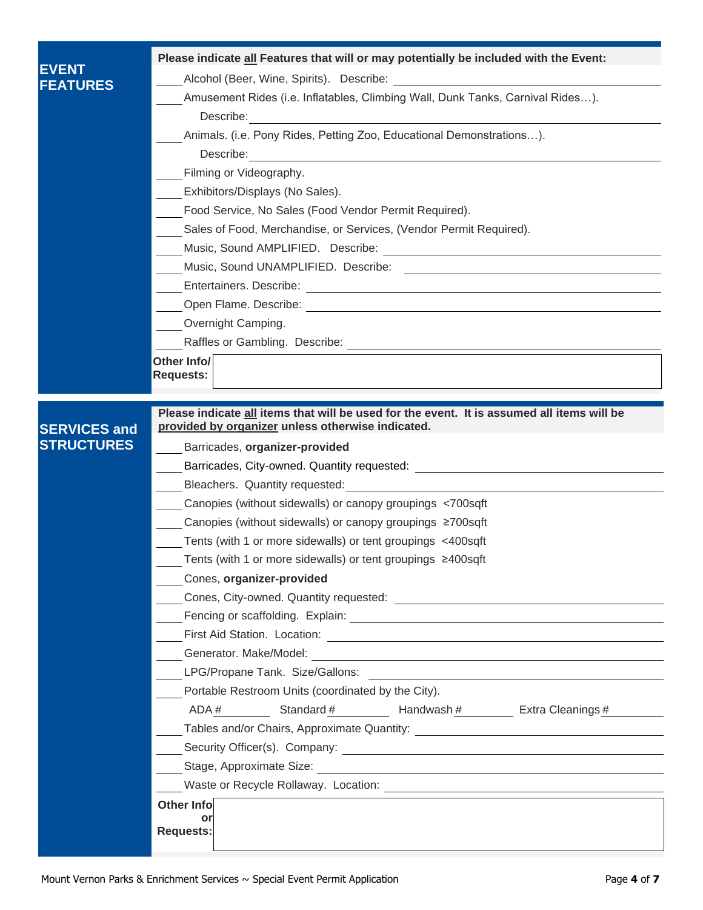|                     | Please indicate all Features that will or may potentially be included with the Event:                                                                                                                                                |  |  |  |  |  |  |
|---------------------|--------------------------------------------------------------------------------------------------------------------------------------------------------------------------------------------------------------------------------------|--|--|--|--|--|--|
| <b>EVENT</b>        |                                                                                                                                                                                                                                      |  |  |  |  |  |  |
| <b>FEATURES</b>     | Amusement Rides (i.e. Inflatables, Climbing Wall, Dunk Tanks, Carnival Rides).                                                                                                                                                       |  |  |  |  |  |  |
|                     | Describe: <u>example and the set of the set of the set of the set of the set of the set of the set of the set of the set of the set of the set of the set of the set of the set of the set of the set of the set of the set of t</u> |  |  |  |  |  |  |
|                     | Animals. (i.e. Pony Rides, Petting Zoo, Educational Demonstrations).                                                                                                                                                                 |  |  |  |  |  |  |
|                     |                                                                                                                                                                                                                                      |  |  |  |  |  |  |
|                     | Filming or Videography.                                                                                                                                                                                                              |  |  |  |  |  |  |
|                     | Exhibitors/Displays (No Sales).                                                                                                                                                                                                      |  |  |  |  |  |  |
|                     | Food Service, No Sales (Food Vendor Permit Required).                                                                                                                                                                                |  |  |  |  |  |  |
|                     | Sales of Food, Merchandise, or Services, (Vendor Permit Required).                                                                                                                                                                   |  |  |  |  |  |  |
|                     |                                                                                                                                                                                                                                      |  |  |  |  |  |  |
|                     |                                                                                                                                                                                                                                      |  |  |  |  |  |  |
|                     |                                                                                                                                                                                                                                      |  |  |  |  |  |  |
|                     |                                                                                                                                                                                                                                      |  |  |  |  |  |  |
|                     | Overnight Camping.                                                                                                                                                                                                                   |  |  |  |  |  |  |
|                     |                                                                                                                                                                                                                                      |  |  |  |  |  |  |
|                     | Other Info/                                                                                                                                                                                                                          |  |  |  |  |  |  |
|                     | Requests:                                                                                                                                                                                                                            |  |  |  |  |  |  |
|                     |                                                                                                                                                                                                                                      |  |  |  |  |  |  |
| <b>SERVICES and</b> | Please indicate all items that will be used for the event. It is assumed all items will be<br>provided by organizer unless otherwise indicated.                                                                                      |  |  |  |  |  |  |
| <b>STRUCTURES</b>   | Barricades, organizer-provided                                                                                                                                                                                                       |  |  |  |  |  |  |
|                     |                                                                                                                                                                                                                                      |  |  |  |  |  |  |
|                     |                                                                                                                                                                                                                                      |  |  |  |  |  |  |
|                     | Canopies (without sidewalls) or canopy groupings <700sqft                                                                                                                                                                            |  |  |  |  |  |  |
|                     | Canopies (without sidewalls) or canopy groupings ≥700sqft                                                                                                                                                                            |  |  |  |  |  |  |
|                     | Tents (with 1 or more sidewalls) or tent groupings <400sqft                                                                                                                                                                          |  |  |  |  |  |  |
|                     | Tents (with 1 or more sidewalls) or tent groupings ≥400sqft                                                                                                                                                                          |  |  |  |  |  |  |
|                     | Cones, organizer-provided                                                                                                                                                                                                            |  |  |  |  |  |  |
|                     |                                                                                                                                                                                                                                      |  |  |  |  |  |  |
|                     |                                                                                                                                                                                                                                      |  |  |  |  |  |  |
|                     |                                                                                                                                                                                                                                      |  |  |  |  |  |  |
|                     |                                                                                                                                                                                                                                      |  |  |  |  |  |  |
|                     | LPG/Propane Tank. Size/Gallons: 2008. 2009. 2009. 2009. 2009. 2009. 2009. 2009. 2009. 2009. 2009. 2009. 2009. 2009. 2009. 2009. 2009. 2009. 2009. 2009. 2009. 2009. 2009. 2009. 2009. 2009. 2009. 2009. 2009. 2009. 2009. 2009       |  |  |  |  |  |  |
|                     | Portable Restroom Units (coordinated by the City).                                                                                                                                                                                   |  |  |  |  |  |  |
|                     | ADA# Standard # Handwash # Extra Cleanings #                                                                                                                                                                                         |  |  |  |  |  |  |
|                     |                                                                                                                                                                                                                                      |  |  |  |  |  |  |
|                     |                                                                                                                                                                                                                                      |  |  |  |  |  |  |
|                     |                                                                                                                                                                                                                                      |  |  |  |  |  |  |
|                     |                                                                                                                                                                                                                                      |  |  |  |  |  |  |
|                     | <b>Other Info</b>                                                                                                                                                                                                                    |  |  |  |  |  |  |
|                     | or<br><b>Requests:</b>                                                                                                                                                                                                               |  |  |  |  |  |  |
|                     |                                                                                                                                                                                                                                      |  |  |  |  |  |  |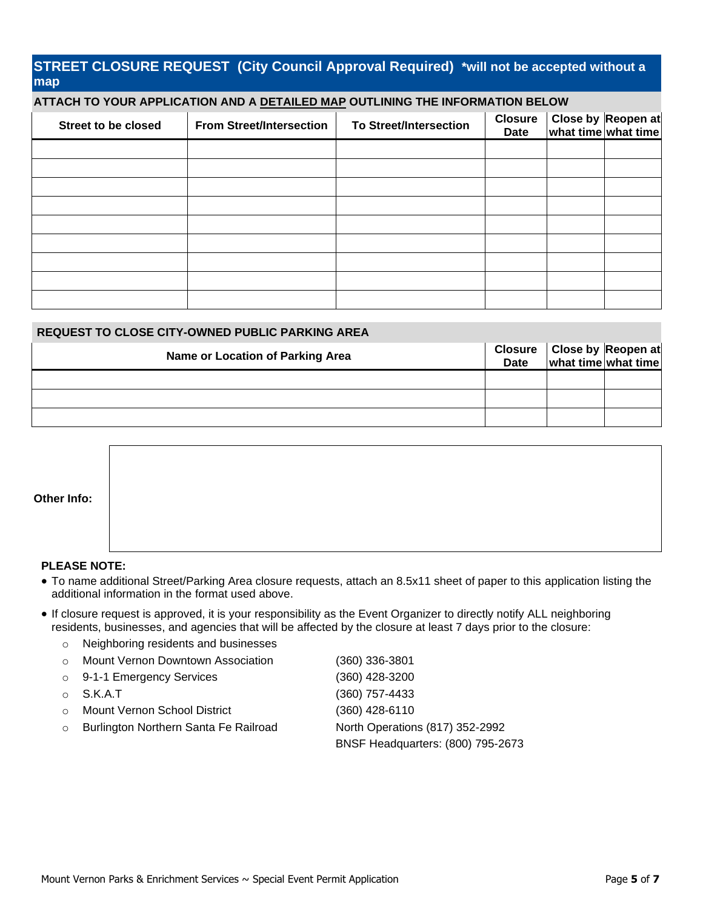## **STREET CLOSURE REQUEST (City Council Approval Required) \*will not be accepted without a map**

#### **ATTACH TO YOUR APPLICATION AND A DETAILED MAP OUTLINING THE INFORMATION BELOW**

| Street to be closed | <b>From Street/Intersection</b> | <b>To Street/Intersection</b> | <b>Closure</b><br><b>Date</b> | Close by Reopen at<br>what time what time |
|---------------------|---------------------------------|-------------------------------|-------------------------------|-------------------------------------------|
|                     |                                 |                               |                               |                                           |
|                     |                                 |                               |                               |                                           |
|                     |                                 |                               |                               |                                           |
|                     |                                 |                               |                               |                                           |
|                     |                                 |                               |                               |                                           |
|                     |                                 |                               |                               |                                           |
|                     |                                 |                               |                               |                                           |
|                     |                                 |                               |                               |                                           |
|                     |                                 |                               |                               |                                           |

#### **REQUEST TO CLOSE CITY-OWNED PUBLIC PARKING AREA**

| Name or Location of Parking Area |  | Closure Close by Reopen at<br>Date what time what time |
|----------------------------------|--|--------------------------------------------------------|
|                                  |  |                                                        |
|                                  |  |                                                        |
|                                  |  |                                                        |

| Other Info: |  |  |  |
|-------------|--|--|--|

#### **PLEASE NOTE:**

- To name additional Street/Parking Area closure requests, attach an 8.5x11 sheet of paper to this application listing the additional information in the format used above.
- If closure request is approved, it is your responsibility as the Event Organizer to directly notify ALL neighboring residents, businesses, and agencies that will be affected by the closure at least 7 days prior to the closure:

|         | o Neighboring residents and businesses |                                   |
|---------|----------------------------------------|-----------------------------------|
| $\circ$ | Mount Vernon Downtown Association      | (360) 336-3801                    |
|         | $\circ$ 9-1-1 Emergency Services       | (360) 428-3200                    |
|         | $\circ$ S.K.A.T                        | (360) 757-4433                    |
|         | ○ Mount Vernon School District         | (360) 428-6110                    |
| $\circ$ | Burlington Northern Santa Fe Railroad  | North Operations (817) 352-2992   |
|         |                                        | BNSF Headquarters: (800) 795-2673 |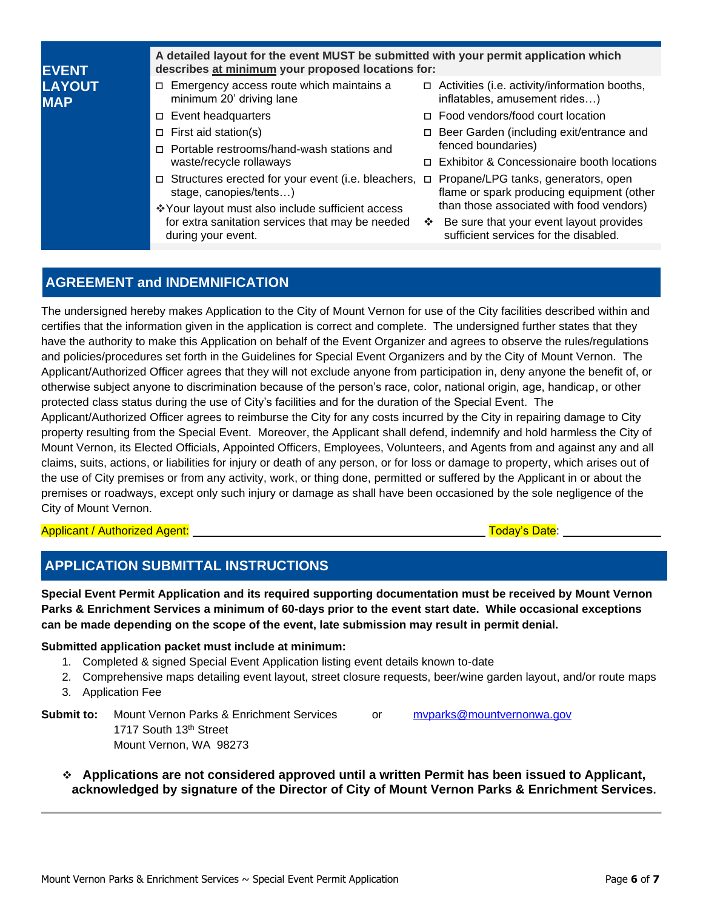| <b>EVENT</b>                | A detailed layout for the event MUST be submitted with your permit application which<br>describes at minimum your proposed locations for: |        |                                                                                  |  |  |  |  |
|-----------------------------|-------------------------------------------------------------------------------------------------------------------------------------------|--------|----------------------------------------------------------------------------------|--|--|--|--|
| <b>LAYOUT</b><br><b>MAP</b> | $\Box$ Emergency access route which maintains a<br>minimum 20' driving lane                                                               | $\Box$ | Activities (i.e. activity/information booths,<br>inflatables, amusement rides)   |  |  |  |  |
|                             | $\Box$ Event headquarters                                                                                                                 |        | $\Box$ Food vendors/food court location                                          |  |  |  |  |
| $\Box$ First aid station(s) |                                                                                                                                           |        | □ Beer Garden (including exit/entrance and                                       |  |  |  |  |
|                             | □ Portable restrooms/hand-wash stations and                                                                                               |        | fenced boundaries)                                                               |  |  |  |  |
|                             | waste/recycle rollaways                                                                                                                   |        | □ Exhibitor & Concessionaire booth locations                                     |  |  |  |  |
|                             | $\Box$ Structures erected for your event (i.e. bleachers, $\Box$<br>stage, canopies/tents)                                                |        | Propane/LPG tanks, generators, open<br>flame or spark producing equipment (other |  |  |  |  |
| during your event.          | *Your layout must also include sufficient access                                                                                          |        | than those associated with food vendors)                                         |  |  |  |  |
|                             | for extra sanitation services that may be needed                                                                                          | ❖      | Be sure that your event layout provides<br>sufficient services for the disabled. |  |  |  |  |
|                             |                                                                                                                                           |        |                                                                                  |  |  |  |  |

# **AGREEMENT and INDEMNIFICATION**

The undersigned hereby makes Application to the City of Mount Vernon for use of the City facilities described within and certifies that the information given in the application is correct and complete. The undersigned further states that they have the authority to make this Application on behalf of the Event Organizer and agrees to observe the rules/regulations and policies/procedures set forth in the Guidelines for Special Event Organizers and by the City of Mount Vernon. The Applicant/Authorized Officer agrees that they will not exclude anyone from participation in, deny anyone the benefit of, or otherwise subject anyone to discrimination because of the person's race, color, national origin, age, handicap, or other protected class status during the use of City's facilities and for the duration of the Special Event. The Applicant/Authorized Officer agrees to reimburse the City for any costs incurred by the City in repairing damage to City property resulting from the Special Event. Moreover, the Applicant shall defend, indemnify and hold harmless the City of Mount Vernon, its Elected Officials, Appointed Officers, Employees, Volunteers, and Agents from and against any and all claims, suits, actions, or liabilities for injury or death of any person, or for loss or damage to property, which arises out of the use of City premises or from any activity, work, or thing done, permitted or suffered by the Applicant in or about the premises or roadways, except only such injury or damage as shall have been occasioned by the sole negligence of the City of Mount Vernon.

#### Applicant / Authorized Agent: Today's Date:

## **APPLICATION SUBMITTAL INSTRUCTIONS**

**Special Event Permit Application and its required supporting documentation must be received by Mount Vernon Parks & Enrichment Services a minimum of 60-days prior to the event start date. While occasional exceptions can be made depending on the scope of the event, late submission may result in permit denial.**

#### **Submitted application packet must include at minimum:**

- 1. Completed & signed Special Event Application listing event details known to-date
- 2. Comprehensive maps detailing event layout, street closure requests, beer/wine garden layout, and/or route maps 3. Application Fee
- **Submit to:** Mount Vernon Parks & Enrichment Services or myparks@mountvernonwa.gov 1717 South 13th Street Mount Vernon, WA 98273
	- ❖ **Applications are not considered approved until a written Permit has been issued to Applicant, acknowledged by signature of the Director of City of Mount Vernon Parks & Enrichment Services.**